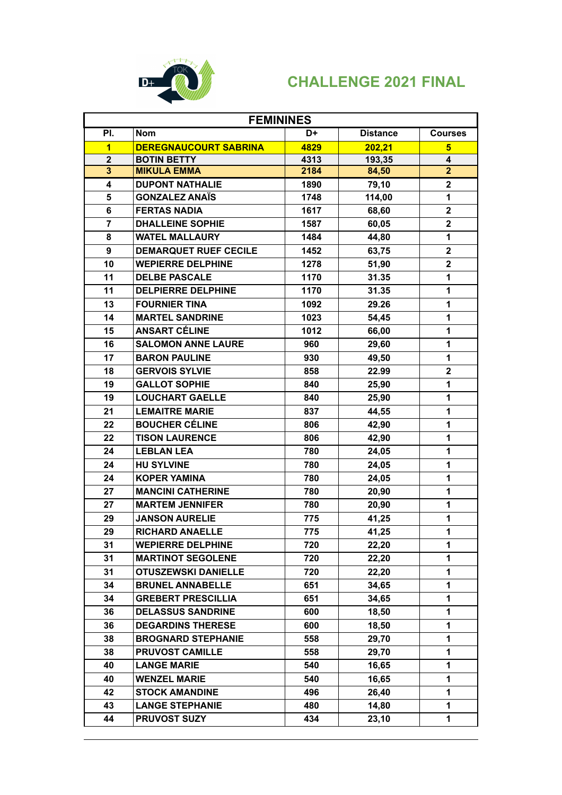

| <b>FEMININES</b>        |                              |      |                 |                         |
|-------------------------|------------------------------|------|-----------------|-------------------------|
| PI.                     | <b>Nom</b>                   | D+   | <b>Distance</b> | <b>Courses</b>          |
| $\overline{\mathbf{1}}$ | <b>DEREGNAUCOURT SABRINA</b> | 4829 | 202,21          | $\overline{\mathbf{5}}$ |
| $\overline{2}$          | <b>BOTIN BETTY</b>           | 4313 | 193,35          | 4                       |
| $\overline{\mathbf{3}}$ | <b>MIKULA EMMA</b>           | 2184 | 84,50           | $\overline{2}$          |
| 4                       | <b>DUPONT NATHALIE</b>       | 1890 | 79,10           | $\overline{\mathbf{2}}$ |
| 5                       | <b>GONZALEZ ANAÏS</b>        | 1748 | 114,00          | 1                       |
| 6                       | <b>FERTAS NADIA</b>          | 1617 | 68,60           | $\mathbf{2}$            |
| $\overline{7}$          | <b>DHALLEINE SOPHIE</b>      | 1587 | 60,05           | $\overline{2}$          |
| 8                       | <b>WATEL MALLAURY</b>        | 1484 | 44,80           | 1                       |
| 9                       | <b>DEMARQUET RUEF CECILE</b> | 1452 | 63,75           | $\overline{2}$          |
| 10                      | <b>WEPIERRE DELPHINE</b>     | 1278 | 51,90           | $\overline{2}$          |
| 11                      | <b>DELBE PASCALE</b>         | 1170 | 31.35           | 1                       |
| 11                      | <b>DELPIERRE DELPHINE</b>    | 1170 | 31.35           | 1                       |
| 13                      | <b>FOURNIER TINA</b>         | 1092 | 29.26           | 1                       |
| 14                      | <b>MARTEL SANDRINE</b>       | 1023 | 54,45           | 1                       |
| 15                      | <b>ANSART CÉLINE</b>         | 1012 | 66,00           | 1                       |
| 16                      | <b>SALOMON ANNE LAURE</b>    | 960  | 29,60           | 1                       |
| 17                      | <b>BARON PAULINE</b>         | 930  | 49,50           | 1                       |
| 18                      | <b>GERVOIS SYLVIE</b>        | 858  | 22.99           | $\overline{2}$          |
| 19                      | <b>GALLOT SOPHIE</b>         | 840  | 25,90           | 1                       |
| 19                      | <b>LOUCHART GAELLE</b>       | 840  | 25,90           | $\mathbf{1}$            |
| 21                      | <b>LEMAITRE MARIE</b>        | 837  | 44,55           | $\mathbf{1}$            |
| 22                      | <b>BOUCHER CÉLINE</b>        | 806  | 42,90           | 1                       |
| 22                      | <b>TISON LAURENCE</b>        | 806  | 42,90           | 1                       |
| 24                      | <b>LEBLAN LEA</b>            | 780  | 24,05           | 1                       |
| 24                      | <b>HU SYLVINE</b>            | 780  | 24,05           | 1                       |
| 24                      | <b>KOPER YAMINA</b>          | 780  | 24,05           | 1                       |
| 27                      | <b>MANCINI CATHERINE</b>     | 780  | 20,90           | 1                       |
| 27                      | <b>MARTEM JENNIFER</b>       | 780  | 20,90           | 1                       |
| 29                      | <b>JANSON AURELIE</b>        | 775  | 41,25           | 1                       |
| 29                      | <b>RICHARD ANAELLE</b>       | 775  | 41,25           | $\mathbf{1}$            |
| 31                      | <b>WEPIERRE DELPHINE</b>     | 720  | 22,20           | 1                       |
| 31                      | <b>MARTINOT SEGOLENE</b>     | 720  | 22,20           | 1                       |
| 31                      | <b>OTUSZEWSKI DANIELLE</b>   | 720  | 22,20           | 1                       |
| 34                      | <b>BRUNEL ANNABELLE</b>      | 651  | 34,65           | 1                       |
| 34                      | <b>GREBERT PRESCILLIA</b>    | 651  | 34,65           | 1                       |
| 36                      | <b>DELASSUS SANDRINE</b>     | 600  | 18,50           | 1                       |
| 36                      | <b>DEGARDINS THERESE</b>     | 600  | 18,50           | 1                       |
| 38                      | <b>BROGNARD STEPHANIE</b>    | 558  | 29,70           | 1                       |
| 38                      | <b>PRUVOST CAMILLE</b>       | 558  | 29,70           | 1                       |
| 40                      | <b>LANGE MARIE</b>           | 540  | 16,65           | 1                       |
| 40                      | <b>WENZEL MARIE</b>          | 540  | 16,65           | 1                       |
| 42                      | <b>STOCK AMANDINE</b>        | 496  | 26,40           | 1                       |
| 43                      | <b>LANGE STEPHANIE</b>       | 480  | 14,80           | 1                       |
| 44                      | <b>PRUVOST SUZY</b>          | 434  | 23,10           | 1                       |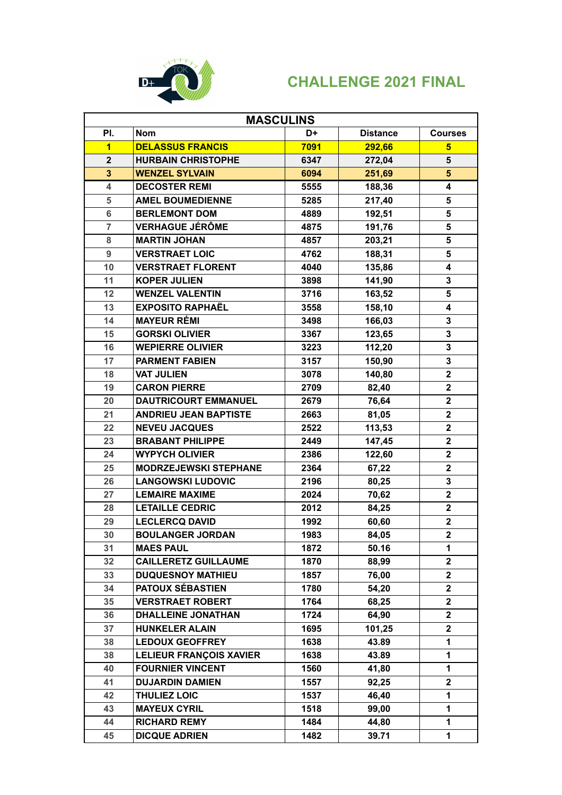

| <b>MASCULINS</b> |                                |      |                 |                         |
|------------------|--------------------------------|------|-----------------|-------------------------|
| PI.              | Nom                            | D+   | <b>Distance</b> | <b>Courses</b>          |
| $\mathbf{1}$     | <b>DELASSUS FRANCIS</b>        | 7091 | 292,66          | $5\phantom{.0}$         |
| $\overline{2}$   | <b>HURBAIN CHRISTOPHE</b>      | 6347 | 272,04          | 5                       |
| $\overline{3}$   | <b>WENZEL SYLVAIN</b>          | 6094 | 251,69          | $5\phantom{.}$          |
| 4                | <b>DECOSTER REMI</b>           | 5555 | 188,36          | 4                       |
| 5                | <b>AMEL BOUMEDIENNE</b>        | 5285 | 217,40          | 5                       |
| 6                | <b>BERLEMONT DOM</b>           | 4889 | 192,51          | 5                       |
| $\overline{7}$   | <b>VERHAGUE JÉRÔME</b>         | 4875 | 191,76          | 5                       |
| 8                | <b>MARTIN JOHAN</b>            | 4857 | 203,21          | 5                       |
| 9                | <b>VERSTRAET LOIC</b>          | 4762 | 188,31          | 5                       |
| 10               | <b>VERSTRAET FLORENT</b>       | 4040 | 135,86          | 4                       |
| 11               | <b>KOPER JULIEN</b>            | 3898 | 141,90          | 3                       |
| 12               | <b>WENZEL VALENTIN</b>         | 3716 | 163,52          | 5                       |
| 13               | <b>EXPOSITO RAPHAËL</b>        | 3558 | 158,10          | 4                       |
| 14               | <b>MAYEUR RÉMI</b>             | 3498 | 166,03          | 3                       |
| 15               | <b>GORSKI OLIVIER</b>          | 3367 | 123,65          | 3                       |
| 16               | <b>WEPIERRE OLIVIER</b>        | 3223 | 112,20          | 3                       |
| 17               | <b>PARMENT FABIEN</b>          | 3157 | 150,90          | 3                       |
| 18               | <b>VAT JULIEN</b>              | 3078 | 140,80          | $\overline{\mathbf{2}}$ |
| 19               | <b>CARON PIERRE</b>            | 2709 | 82,40           | $\overline{\mathbf{2}}$ |
| 20               | <b>DAUTRICOURT EMMANUEL</b>    | 2679 | 76,64           | $\mathbf{2}$            |
| 21               | <b>ANDRIEU JEAN BAPTISTE</b>   | 2663 | 81,05           | $\overline{\mathbf{2}}$ |
| 22               | <b>NEVEU JACQUES</b>           | 2522 | 113,53          | $\mathbf{2}$            |
| 23               | <b>BRABANT PHILIPPE</b>        | 2449 | 147,45          | $\mathbf{2}$            |
| 24               | <b>WYPYCH OLIVIER</b>          | 2386 | 122,60          | $\overline{\mathbf{2}}$ |
| 25               | <b>MODRZEJEWSKI STEPHANE</b>   | 2364 | 67,22           | $\overline{2}$          |
| 26               | <b>LANGOWSKI LUDOVIC</b>       | 2196 | 80,25           | 3                       |
| 27               | <b>LEMAIRE MAXIME</b>          | 2024 | 70,62           | $\overline{\mathbf{2}}$ |
| 28               | <b>LETAILLE CEDRIC</b>         | 2012 | 84,25           | $\overline{2}$          |
| 29               | <b>LECLERCQ DAVID</b>          | 1992 | 60,60           | $\overline{\mathbf{2}}$ |
| 30               | <b>BOULANGER JORDAN</b>        | 1983 | 84,05           | $\overline{2}$          |
| 31               | <b>MAES PAUL</b>               | 1872 | 50.16           | 1                       |
| 32               | <b>CAILLERETZ GUILLAUME</b>    | 1870 | 88,99           | $\mathbf{2}$            |
| 33               | <b>DUQUESNOY MATHIEU</b>       | 1857 | 76,00           | $\overline{\mathbf{2}}$ |
| 34               | PATOUX SÉBASTIEN               | 1780 | 54,20           | $\mathbf{2}$            |
| 35               | <b>VERSTRAET ROBERT</b>        | 1764 | 68,25           | $\mathbf{2}$            |
| 36               | <b>DHALLEINE JONATHAN</b>      | 1724 | 64,90           | $\overline{2}$          |
| 37               | <b>HUNKELER ALAIN</b>          | 1695 | 101,25          | $\overline{\mathbf{2}}$ |
| 38               | <b>LEDOUX GEOFFREY</b>         | 1638 | 43.89           | 1                       |
| 38               | <b>LELIEUR FRANÇOIS XAVIER</b> | 1638 | 43.89           | 1                       |
| 40               | <b>FOURNIER VINCENT</b>        | 1560 | 41,80           | 1                       |
| 41               | <b>DUJARDIN DAMIEN</b>         | 1557 | 92,25           | $\mathbf{2}$            |
| 42               | <b>THULIEZ LOIC</b>            | 1537 | 46,40           | 1                       |
| 43               | <b>MAYEUX CYRIL</b>            | 1518 | 99,00           | 1                       |
| 44               | <b>RICHARD REMY</b>            | 1484 | 44,80           | 1                       |
| 45               | <b>DICQUE ADRIEN</b>           | 1482 | 39.71           | 1                       |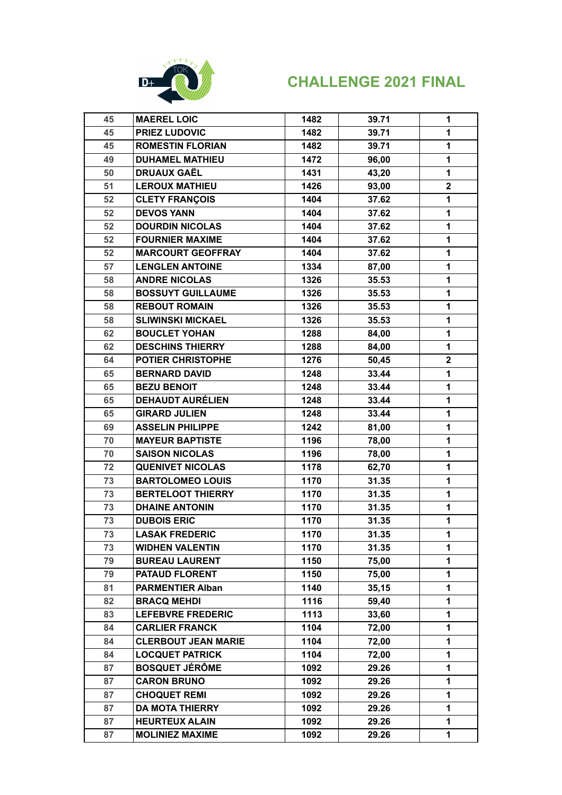

| 45 | <b>MAEREL LOIC</b>         | 1482 | 39.71 | $\mathbf 1$             |
|----|----------------------------|------|-------|-------------------------|
| 45 | <b>PRIEZ LUDOVIC</b>       | 1482 | 39.71 | $\mathbf{1}$            |
| 45 | <b>ROMESTIN FLORIAN</b>    | 1482 | 39.71 | 1                       |
| 49 | <b>DUHAMEL MATHIEU</b>     | 1472 | 96,00 | $\mathbf{1}$            |
| 50 | <b>DRUAUX GAËL</b>         | 1431 | 43,20 | 1                       |
| 51 | <b>LEROUX MATHIEU</b>      | 1426 | 93,00 | $\overline{\mathbf{2}}$ |
| 52 | <b>CLETY FRANÇOIS</b>      | 1404 | 37.62 | 1                       |
| 52 | <b>DEVOS YANN</b>          | 1404 | 37.62 | 1                       |
| 52 | <b>DOURDIN NICOLAS</b>     | 1404 | 37.62 | 1                       |
| 52 | <b>FOURNIER MAXIME</b>     | 1404 | 37.62 | $\mathbf{1}$            |
| 52 | <b>MARCOURT GEOFFRAY</b>   | 1404 | 37.62 | 1                       |
| 57 | <b>LENGLEN ANTOINE</b>     | 1334 | 87,00 | $\mathbf{1}$            |
| 58 | <b>ANDRE NICOLAS</b>       | 1326 | 35.53 | $\mathbf{1}$            |
| 58 | <b>BOSSUYT GUILLAUME</b>   | 1326 | 35.53 | 1                       |
| 58 | <b>REBOUT ROMAIN</b>       | 1326 | 35.53 | 1                       |
| 58 | <b>SLIWINSKI MICKAEL</b>   | 1326 | 35.53 | 1                       |
| 62 | <b>BOUCLET YOHAN</b>       | 1288 | 84,00 | 1                       |
| 62 | <b>DESCHINS THIERRY</b>    | 1288 | 84,00 | $\mathbf{1}$            |
| 64 | <b>POTIER CHRISTOPHE</b>   | 1276 | 50,45 | $\mathbf{2}$            |
| 65 | <b>BERNARD DAVID</b>       | 1248 | 33.44 | $\mathbf 1$             |
| 65 | <b>BEZU BENOIT</b>         | 1248 | 33.44 | $\mathbf{1}$            |
| 65 | <b>DEHAUDT AURÉLIEN</b>    | 1248 | 33.44 | 1                       |
| 65 | <b>GIRARD JULIEN</b>       | 1248 | 33.44 | $\mathbf{1}$            |
| 69 | <b>ASSELIN PHILIPPE</b>    | 1242 | 81,00 | $\mathbf{1}$            |
| 70 | <b>MAYEUR BAPTISTE</b>     | 1196 | 78,00 | 1                       |
| 70 | <b>SAISON NICOLAS</b>      | 1196 | 78,00 | 1                       |
| 72 | <b>QUENIVET NICOLAS</b>    | 1178 | 62,70 | 1                       |
| 73 | <b>BARTOLOMEO LOUIS</b>    | 1170 | 31.35 | 1                       |
| 73 | <b>BERTELOOT THIERRY</b>   | 1170 | 31.35 | 1                       |
| 73 | <b>DHAINE ANTONIN</b>      | 1170 | 31.35 | 1                       |
| 73 | <b>DUBOIS ERIC</b>         | 1170 | 31.35 | 1                       |
| 73 | <b>LASAK FREDERIC</b>      | 1170 | 31.35 | 1                       |
| 73 | <b>WIDHEN VALENTIN</b>     | 1170 | 31.35 | $\mathbf 1$             |
| 79 | <b>BUREAU LAURENT</b>      | 1150 | 75,00 | $\mathbf{1}$            |
| 79 | <b>PATAUD FLORENT</b>      | 1150 | 75,00 | $\mathbf{1}$            |
| 81 | <b>PARMENTIER Alban</b>    | 1140 | 35,15 | 1                       |
| 82 | <b>BRACQ MEHDI</b>         | 1116 | 59,40 | 1                       |
| 83 | <b>LEFEBVRE FREDERIC</b>   | 1113 | 33,60 | 1                       |
| 84 | <b>CARLIER FRANCK</b>      | 1104 | 72,00 | 1                       |
| 84 | <b>CLERBOUT JEAN MARIE</b> | 1104 | 72,00 | 1                       |
| 84 | <b>LOCQUET PATRICK</b>     | 1104 | 72,00 | $\mathbf 1$             |
| 87 | <b>BOSQUET JÉRÔME</b>      | 1092 | 29.26 | 1                       |
| 87 | <b>CARON BRUNO</b>         | 1092 | 29.26 | 1                       |
| 87 | <b>CHOQUET REMI</b>        | 1092 | 29.26 | 1                       |
| 87 | <b>DA MOTA THIERRY</b>     | 1092 | 29.26 | $\mathbf{1}$            |
| 87 | <b>HEURTEUX ALAIN</b>      | 1092 | 29.26 | $\mathbf{1}$            |
| 87 | <b>MOLINIEZ MAXIME</b>     | 1092 | 29.26 | 1                       |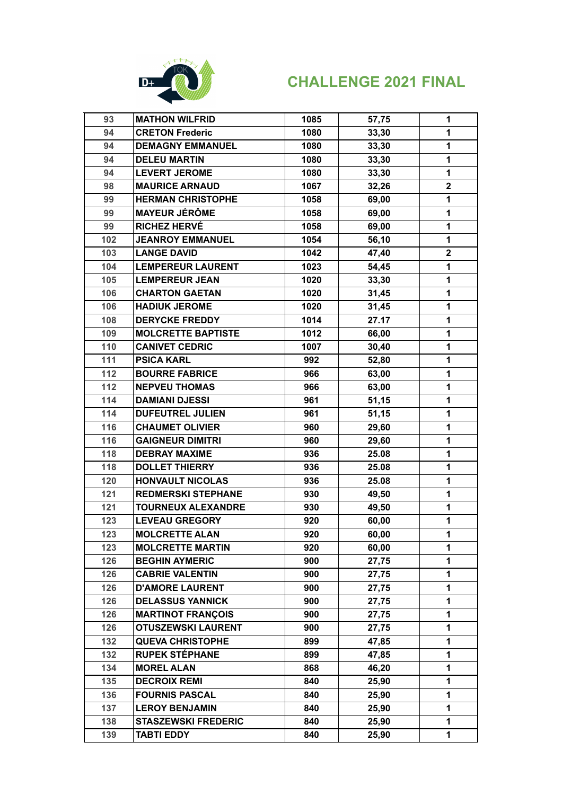

| 93  | <b>MATHON WILFRID</b>      | 1085 | 57,75 | $\mathbf 1$             |
|-----|----------------------------|------|-------|-------------------------|
| 94  | <b>CRETON Frederic</b>     | 1080 | 33,30 | $\mathbf{1}$            |
| 94  | <b>DEMAGNY EMMANUEL</b>    | 1080 | 33,30 | $\mathbf{1}$            |
| 94  | <b>DELEU MARTIN</b>        | 1080 | 33,30 | 1                       |
| 94  | <b>LEVERT JEROME</b>       | 1080 | 33,30 | 1                       |
| 98  | <b>MAURICE ARNAUD</b>      | 1067 | 32,26 | $\overline{\mathbf{2}}$ |
| 99  | <b>HERMAN CHRISTOPHE</b>   | 1058 | 69,00 | 1                       |
| 99  | <b>MAYEUR JÉRÔME</b>       | 1058 | 69,00 | 1                       |
| 99  | <b>RICHEZ HERVÉ</b>        | 1058 | 69,00 | $\mathbf{1}$            |
| 102 | <b>JEANROY EMMANUEL</b>    | 1054 | 56,10 | $\mathbf{1}$            |
| 103 | <b>LANGE DAVID</b>         | 1042 | 47,40 | $\mathbf 2$             |
| 104 | <b>LEMPEREUR LAURENT</b>   | 1023 | 54,45 | 1                       |
| 105 | <b>LEMPEREUR JEAN</b>      | 1020 | 33,30 | 1                       |
| 106 | <b>CHARTON GAETAN</b>      | 1020 | 31,45 | 1                       |
| 106 | <b>HADIUK JEROME</b>       | 1020 | 31,45 | 1                       |
| 108 | <b>DERYCKE FREDDY</b>      | 1014 | 27.17 | 1                       |
| 109 | <b>MOLCRETTE BAPTISTE</b>  | 1012 | 66,00 | 1                       |
| 110 | <b>CANIVET CEDRIC</b>      | 1007 | 30,40 | 1                       |
| 111 | <b>PSICA KARL</b>          | 992  | 52,80 | 1                       |
| 112 | <b>BOURRE FABRICE</b>      | 966  | 63,00 | 1                       |
| 112 | <b>NEPVEU THOMAS</b>       | 966  | 63,00 | 1                       |
| 114 | <b>DAMIANI DJESSI</b>      | 961  | 51,15 | 1                       |
| 114 | <b>DUFEUTREL JULIEN</b>    | 961  | 51,15 | 1                       |
| 116 | <b>CHAUMET OLIVIER</b>     | 960  | 29,60 | 1                       |
| 116 | <b>GAIGNEUR DIMITRI</b>    | 960  | 29,60 | 1                       |
| 118 | <b>DEBRAY MAXIME</b>       | 936  | 25.08 | 1                       |
| 118 | <b>DOLLET THIERRY</b>      | 936  | 25.08 | 1                       |
| 120 | <b>HONVAULT NICOLAS</b>    | 936  | 25.08 | 1                       |
| 121 | <b>REDMERSKI STEPHANE</b>  | 930  | 49,50 | 1                       |
| 121 | <b>TOURNEUX ALEXANDRE</b>  | 930  | 49,50 | 1                       |
| 123 | <b>LEVEAU GREGORY</b>      | 920  | 60,00 | 1                       |
| 123 | <b>MOLCRETTE ALAN</b>      | 920  | 60,00 | $\mathbf 1$             |
| 123 | <b>MOLCRETTE MARTIN</b>    | 920  | 60,00 | 1                       |
| 126 | <b>BEGHIN AYMERIC</b>      | 900  | 27,75 | 1                       |
| 126 | <b>CABRIE VALENTIN</b>     | 900  | 27,75 | 1                       |
| 126 | <b>D'AMORE LAURENT</b>     | 900  | 27,75 | 1                       |
| 126 | <b>DELASSUS YANNICK</b>    | 900  | 27,75 | 1                       |
| 126 | <b>MARTINOT FRANÇOIS</b>   | 900  | 27,75 | 1                       |
| 126 | <b>OTUSZEWSKI LAURENT</b>  | 900  | 27,75 | 1                       |
| 132 | <b>QUEVA CHRISTOPHE</b>    | 899  | 47,85 | 1                       |
| 132 | <b>RUPEK STÉPHANE</b>      | 899  | 47,85 | 1                       |
| 134 | <b>MOREL ALAN</b>          | 868  | 46,20 | 1                       |
| 135 | <b>DECROIX REMI</b>        | 840  | 25,90 | 1                       |
| 136 | <b>FOURNIS PASCAL</b>      | 840  | 25,90 | 1                       |
| 137 | <b>LEROY BENJAMIN</b>      | 840  | 25,90 | 1                       |
| 138 | <b>STASZEWSKI FREDERIC</b> | 840  | 25,90 | 1                       |
| 139 | <b>TABTI EDDY</b>          | 840  | 25,90 | 1                       |